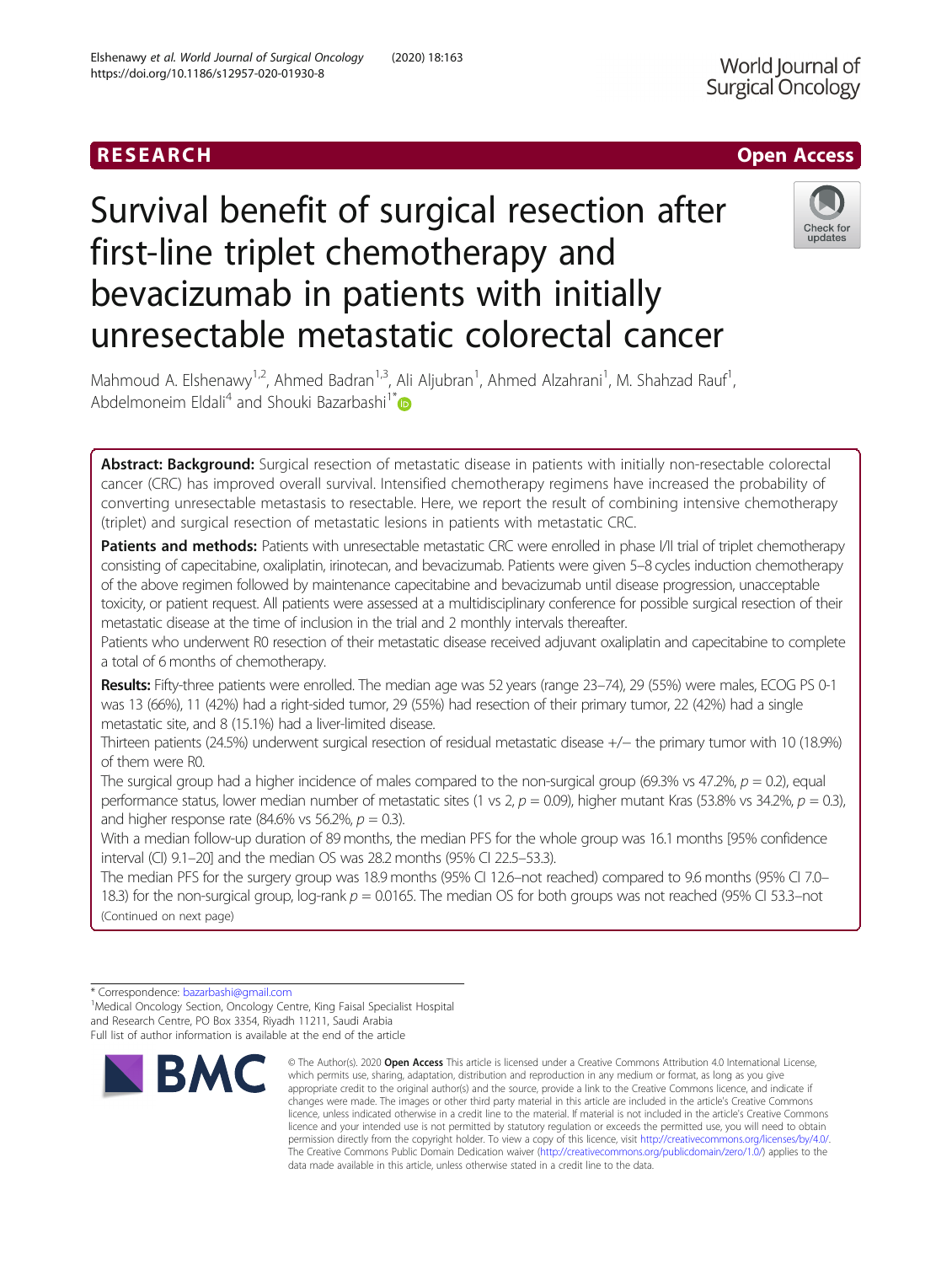## RESEARCH **RESEARCH CHANNEL CONTROL**

# Survival benefit of surgical resection after first-line triplet chemotherapy and bevacizumab in patients with initially unresectable metastatic colorectal cancer

Mahmoud A. Elshenawy<sup>1,2</sup>, Ahmed Badran<sup>1,3</sup>, Ali Aljubran<sup>1</sup>, Ahmed Alzahrani<sup>1</sup>, M. Shahzad Rauf<sup>1</sup> , Abdelmoneim Eldali<sup>4</sup> and Shouki Bazarbashi<sup>1\*</sup>

Abstract: Background: Surgical resection of metastatic disease in patients with initially non-resectable colorectal cancer (CRC) has improved overall survival. Intensified chemotherapy regimens have increased the probability of converting unresectable metastasis to resectable. Here, we report the result of combining intensive chemotherapy (triplet) and surgical resection of metastatic lesions in patients with metastatic CRC.

Patients and methods: Patients with unresectable metastatic CRC were enrolled in phase I/II trial of triplet chemotherapy consisting of capecitabine, oxaliplatin, irinotecan, and bevacizumab. Patients were given 5–8 cycles induction chemotherapy of the above regimen followed by maintenance capecitabine and bevacizumab until disease progression, unacceptable toxicity, or patient request. All patients were assessed at a multidisciplinary conference for possible surgical resection of their metastatic disease at the time of inclusion in the trial and 2 monthly intervals thereafter.

Patients who underwent R0 resection of their metastatic disease received adjuvant oxaliplatin and capecitabine to complete a total of 6 months of chemotherapy.

Results: Fifty-three patients were enrolled. The median age was 52 years (range 23-74), 29 (55%) were males, ECOG PS 0-1 was 13 (66%), 11 (42%) had a right-sided tumor, 29 (55%) had resection of their primary tumor, 22 (42%) had a single metastatic site, and 8 (15.1%) had a liver-limited disease.

Thirteen patients (24.5%) underwent surgical resection of residual metastatic disease +/− the primary tumor with 10 (18.9%) of them were R0.

The surgical group had a higher incidence of males compared to the non-surgical group (69.3% vs 47.2%,  $p = 0.2$ ), equal performance status, lower median number of metastatic sites (1 vs 2,  $p = 0.09$ ), higher mutant Kras (53.8% vs 34.2%,  $p = 0.3$ ), and higher response rate (84.6% vs 56.2%,  $p = 0.3$ ).

With a median follow-up duration of 89 months, the median PFS for the whole group was 16.1 months [95% confidence interval (CI) 9.1–20] and the median OS was 28.2 months (95% CI 22.5–53.3).

The median PFS for the surgery group was 18.9 months (95% CI 12.6–not reached) compared to 9.6 months (95% CI 7.0– 18.3) for the non-surgical group,  $log$ -rank  $p = 0.0165$ . The median OS for both groups was not reached (95% CI 53.3–not (Continued on next page)

**BMC** 

which permits use, sharing, adaptation, distribution and reproduction in any medium or format, as long as you give appropriate credit to the original author(s) and the source, provide a link to the Creative Commons licence, and indicate if changes were made. The images or other third party material in this article are included in the article's Creative Commons licence, unless indicated otherwise in a credit line to the material. If material is not included in the article's Creative Commons licence and your intended use is not permitted by statutory regulation or exceeds the permitted use, you will need to obtain permission directly from the copyright holder. To view a copy of this licence, visit [http://creativecommons.org/licenses/by/4.0/.](http://creativecommons.org/licenses/by/4.0/) The Creative Commons Public Domain Dedication waiver [\(http://creativecommons.org/publicdomain/zero/1.0/](http://creativecommons.org/publicdomain/zero/1.0/)) applies to the data made available in this article, unless otherwise stated in a credit line to the data.

© The Author(s), 2020 **Open Access** This article is licensed under a Creative Commons Attribution 4.0 International License,



<sup>\*</sup> Correspondence: [bazarbashi@gmail.com](mailto:bazarbashi@gmail.com) <sup>1</sup>

<sup>&</sup>lt;sup>1</sup>Medical Oncology Section, Oncology Centre, King Faisal Specialist Hospital and Research Centre, PO Box 3354, Riyadh 11211, Saudi Arabia Full list of author information is available at the end of the article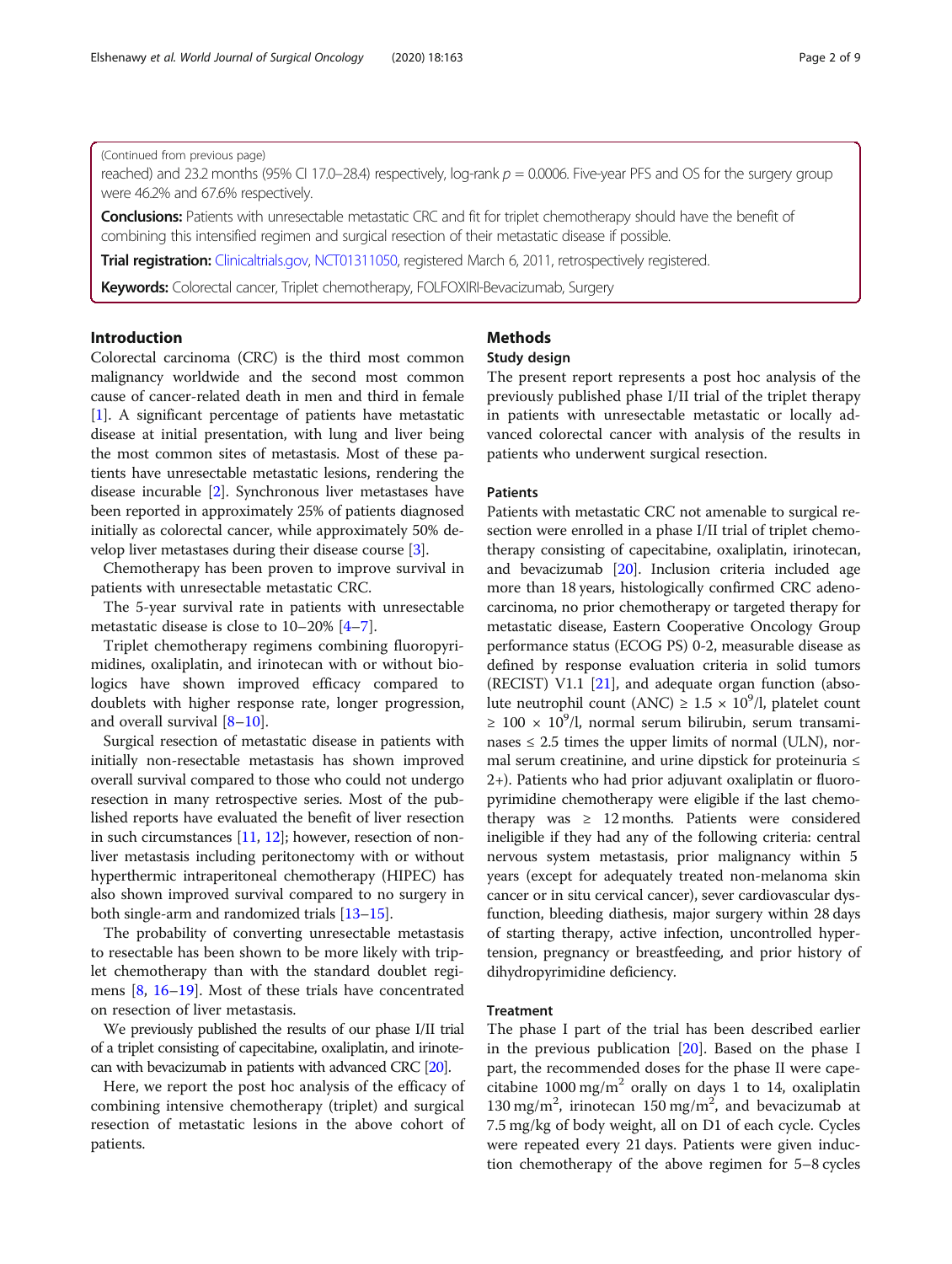## (Continued from previous page)

reached) and 23.2 months (95% CI 17.0–28.4) respectively, log-rank  $p = 0.0006$ . Five-year PFS and OS for the surgery group were 46.2% and 67.6% respectively.

Conclusions: Patients with unresectable metastatic CRC and fit for triplet chemotherapy should have the benefit of combining this intensified regimen and surgical resection of their metastatic disease if possible.

Trial registration: [Clinicaltrials.gov,](http://clinicaltrials.gov) [NCT01311050,](https://clinicaltrials.gov/show/NCT01311050) registered March 6, 2011, retrospectively registered.

Keywords: Colorectal cancer, Triplet chemotherapy, FOLFOXIRI-Bevacizumab, Surgery

## Introduction

Colorectal carcinoma (CRC) is the third most common malignancy worldwide and the second most common cause of cancer-related death in men and third in female [[1\]](#page-7-0). A significant percentage of patients have metastatic disease at initial presentation, with lung and liver being the most common sites of metastasis. Most of these patients have unresectable metastatic lesions, rendering the disease incurable [\[2](#page-7-0)]. Synchronous liver metastases have been reported in approximately 25% of patients diagnosed initially as colorectal cancer, while approximately 50% develop liver metastases during their disease course [[3](#page-7-0)].

Chemotherapy has been proven to improve survival in patients with unresectable metastatic CRC.

The 5-year survival rate in patients with unresectable metastatic disease is close to 10–20% [[4](#page-7-0)–[7\]](#page-7-0).

Triplet chemotherapy regimens combining fluoropyrimidines, oxaliplatin, and irinotecan with or without biologics have shown improved efficacy compared to doublets with higher response rate, longer progression, and overall survival [\[8](#page-7-0)–[10\]](#page-7-0).

Surgical resection of metastatic disease in patients with initially non-resectable metastasis has shown improved overall survival compared to those who could not undergo resection in many retrospective series. Most of the published reports have evaluated the benefit of liver resection in such circumstances [\[11,](#page-7-0) [12](#page-7-0)]; however, resection of nonliver metastasis including peritonectomy with or without hyperthermic intraperitoneal chemotherapy (HIPEC) has also shown improved survival compared to no surgery in both single-arm and randomized trials [[13](#page-7-0)–[15\]](#page-8-0).

The probability of converting unresectable metastasis to resectable has been shown to be more likely with triplet chemotherapy than with the standard doublet regimens [\[8](#page-7-0), [16](#page-8-0)–[19](#page-8-0)]. Most of these trials have concentrated on resection of liver metastasis.

We previously published the results of our phase I/II trial of a triplet consisting of capecitabine, oxaliplatin, and irinotecan with bevacizumab in patients with advanced CRC [\[20\]](#page-8-0).

Here, we report the post hoc analysis of the efficacy of combining intensive chemotherapy (triplet) and surgical resection of metastatic lesions in the above cohort of patients.

## Methods Study design

The present report represents a post hoc analysis of the previously published phase I/II trial of the triplet therapy in patients with unresectable metastatic or locally advanced colorectal cancer with analysis of the results in patients who underwent surgical resection.

## Patients

Patients with metastatic CRC not amenable to surgical resection were enrolled in a phase I/II trial of triplet chemotherapy consisting of capecitabine, oxaliplatin, irinotecan, and bevacizumab [\[20](#page-8-0)]. Inclusion criteria included age more than 18 years, histologically confirmed CRC adenocarcinoma, no prior chemotherapy or targeted therapy for metastatic disease, Eastern Cooperative Oncology Group performance status (ECOG PS) 0-2, measurable disease as defined by response evaluation criteria in solid tumors (RECIST) V1.1 [[21](#page-8-0)], and adequate organ function (absolute neutrophil count (ANC)  $\geq 1.5 \times 10^9$ /l, platelet count ≥ 100 × 10<sup>9</sup>/l, normal serum bilirubin, serum transaminases  $\leq$  2.5 times the upper limits of normal (ULN), normal serum creatinine, and urine dipstick for proteinuria ≤ 2+). Patients who had prior adjuvant oxaliplatin or fluoropyrimidine chemotherapy were eligible if the last chemotherapy was  $\geq 12$  months. Patients were considered ineligible if they had any of the following criteria: central nervous system metastasis, prior malignancy within 5 years (except for adequately treated non-melanoma skin cancer or in situ cervical cancer), sever cardiovascular dysfunction, bleeding diathesis, major surgery within 28 days of starting therapy, active infection, uncontrolled hypertension, pregnancy or breastfeeding, and prior history of dihydropyrimidine deficiency.

## Treatment

The phase I part of the trial has been described earlier in the previous publication [\[20](#page-8-0)]. Based on the phase I part, the recommended doses for the phase II were capecitabine  $1000 \text{ mg/m}^2$  orally on days 1 to 14, oxaliplatin 130 mg/m<sup>2</sup>, irinotecan 150 mg/m<sup>2</sup>, and bevacizumab at 7.5 mg/kg of body weight, all on D1 of each cycle. Cycles were repeated every 21 days. Patients were given induction chemotherapy of the above regimen for 5–8 cycles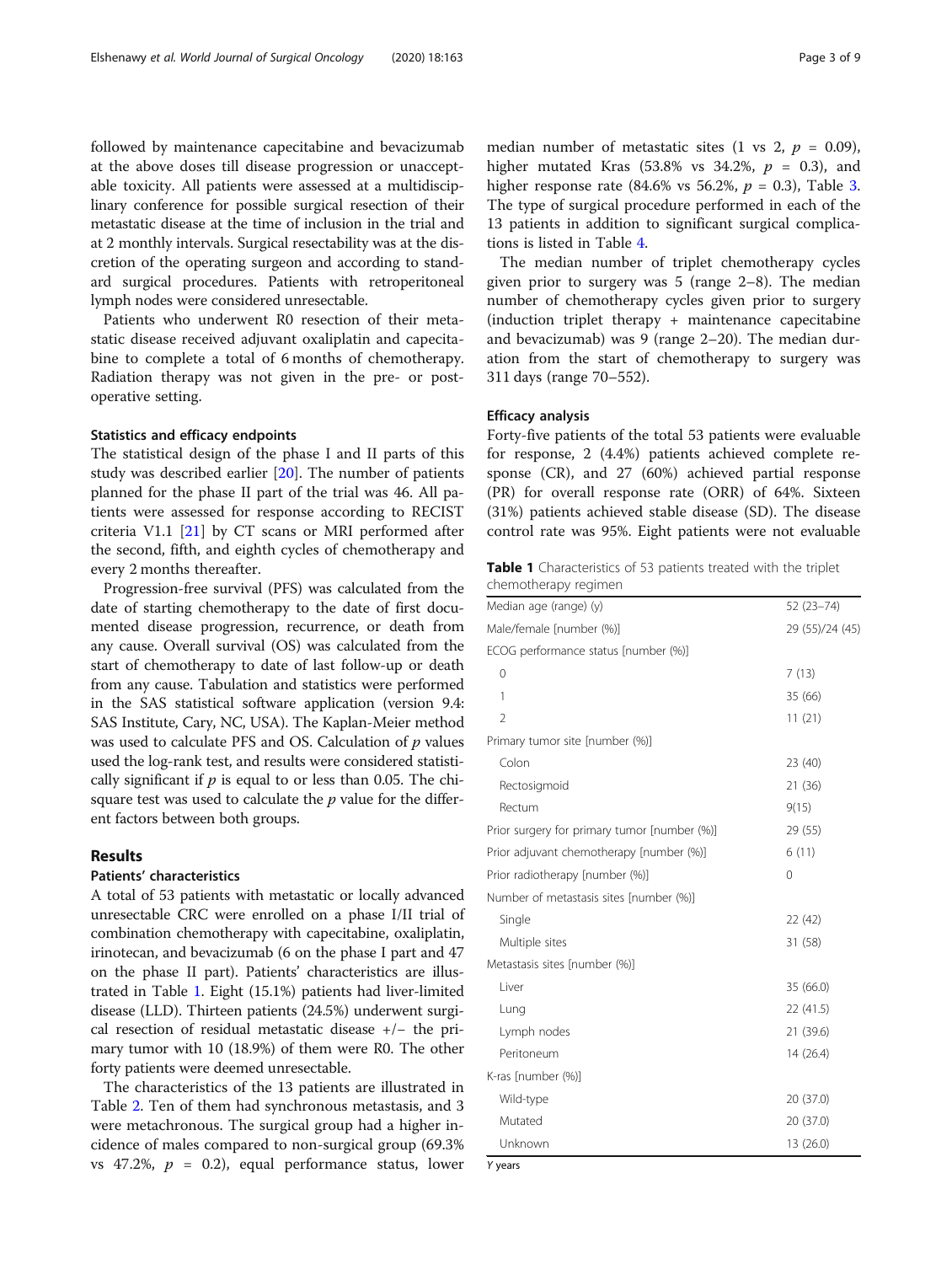followed by maintenance capecitabine and bevacizumab at the above doses till disease progression or unacceptable toxicity. All patients were assessed at a multidisciplinary conference for possible surgical resection of their metastatic disease at the time of inclusion in the trial and at 2 monthly intervals. Surgical resectability was at the discretion of the operating surgeon and according to standard surgical procedures. Patients with retroperitoneal lymph nodes were considered unresectable.

Patients who underwent R0 resection of their metastatic disease received adjuvant oxaliplatin and capecitabine to complete a total of 6 months of chemotherapy. Radiation therapy was not given in the pre- or postoperative setting.

## Statistics and efficacy endpoints

The statistical design of the phase I and II parts of this study was described earlier [\[20\]](#page-8-0). The number of patients planned for the phase II part of the trial was 46. All patients were assessed for response according to RECIST criteria V1.1 [[21\]](#page-8-0) by CT scans or MRI performed after the second, fifth, and eighth cycles of chemotherapy and every 2 months thereafter.

Progression-free survival (PFS) was calculated from the date of starting chemotherapy to the date of first documented disease progression, recurrence, or death from any cause. Overall survival (OS) was calculated from the start of chemotherapy to date of last follow-up or death from any cause. Tabulation and statistics were performed in the SAS statistical software application (version 9.4: SAS Institute, Cary, NC, USA). The Kaplan-Meier method was used to calculate PFS and OS. Calculation of  $p$  values used the log-rank test, and results were considered statistically significant if  $p$  is equal to or less than 0.05. The chisquare test was used to calculate the  $p$  value for the different factors between both groups.

## Results

## Patients' characteristics

A total of 53 patients with metastatic or locally advanced unresectable CRC were enrolled on a phase I/II trial of combination chemotherapy with capecitabine, oxaliplatin, irinotecan, and bevacizumab (6 on the phase I part and 47 on the phase II part). Patients' characteristics are illustrated in Table 1. Eight (15.1%) patients had liver-limited disease (LLD). Thirteen patients (24.5%) underwent surgical resection of residual metastatic disease +/− the primary tumor with 10 (18.9%) of them were R0. The other forty patients were deemed unresectable.

The characteristics of the 13 patients are illustrated in Table [2.](#page-3-0) Ten of them had synchronous metastasis, and 3 were metachronous. The surgical group had a higher incidence of males compared to non-surgical group (69.3% vs 47.2%,  $p = 0.2$ ), equal performance status, lower median number of metastatic sites (1 vs 2,  $p = 0.09$ ), higher mutated Kras (53.8% vs 34.2%,  $p = 0.3$ ), and higher response rate (84.6% vs 56.2%,  $p = 0.3$  $p = 0.3$ ), Table 3. The type of surgical procedure performed in each of the 13 patients in addition to significant surgical complications is listed in Table [4](#page-4-0).

The median number of triplet chemotherapy cycles given prior to surgery was 5 (range 2–8). The median number of chemotherapy cycles given prior to surgery (induction triplet therapy + maintenance capecitabine and bevacizumab) was 9 (range 2–20). The median duration from the start of chemotherapy to surgery was 311 days (range 70–552).

## Efficacy analysis

Forty-five patients of the total 53 patients were evaluable for response, 2 (4.4%) patients achieved complete response (CR), and 27 (60%) achieved partial response (PR) for overall response rate (ORR) of 64%. Sixteen (31%) patients achieved stable disease (SD). The disease control rate was 95%. Eight patients were not evaluable

| <b>Table 1</b> Characteristics of 53 patients treated with the triplet |  |  |  |
|------------------------------------------------------------------------|--|--|--|
| chemotherapy regimen                                                   |  |  |  |

| Median age (range) (y)                       | $52(23-74)$     |  |
|----------------------------------------------|-----------------|--|
| Male/female [number (%)]                     | 29 (55)/24 (45) |  |
| ECOG performance status [number (%)]         |                 |  |
| 0                                            | 7(13)           |  |
| 1                                            | 35 (66)         |  |
| $\overline{2}$                               | 11(21)          |  |
| Primary tumor site [number (%)]              |                 |  |
| Colon                                        | 23 (40)         |  |
| Rectosigmoid                                 | 21 (36)         |  |
| Rectum                                       | 9(15)           |  |
| Prior surgery for primary tumor [number (%)] | 29 (55)         |  |
| Prior adjuvant chemotherapy [number (%)]     | 6(11)           |  |
| Prior radiotherapy [number (%)]              | 0               |  |
| Number of metastasis sites [number (%)]      |                 |  |
| Single                                       | 22 (42)         |  |
| Multiple sites                               | 31 (58)         |  |
| Metastasis sites [number (%)]                |                 |  |
| Liver                                        | 35 (66.0)       |  |
| Lung                                         | 22 (41.5)       |  |
| Lymph nodes                                  | 21 (39.6)       |  |
| Peritoneum                                   | 14 (26.4)       |  |
| K-ras [number (%)]                           |                 |  |
| Wild-type                                    | 20 (37.0)       |  |
| Mutated                                      | 20 (37.0)       |  |
| Unknown                                      | 13 (26.0)       |  |

Y years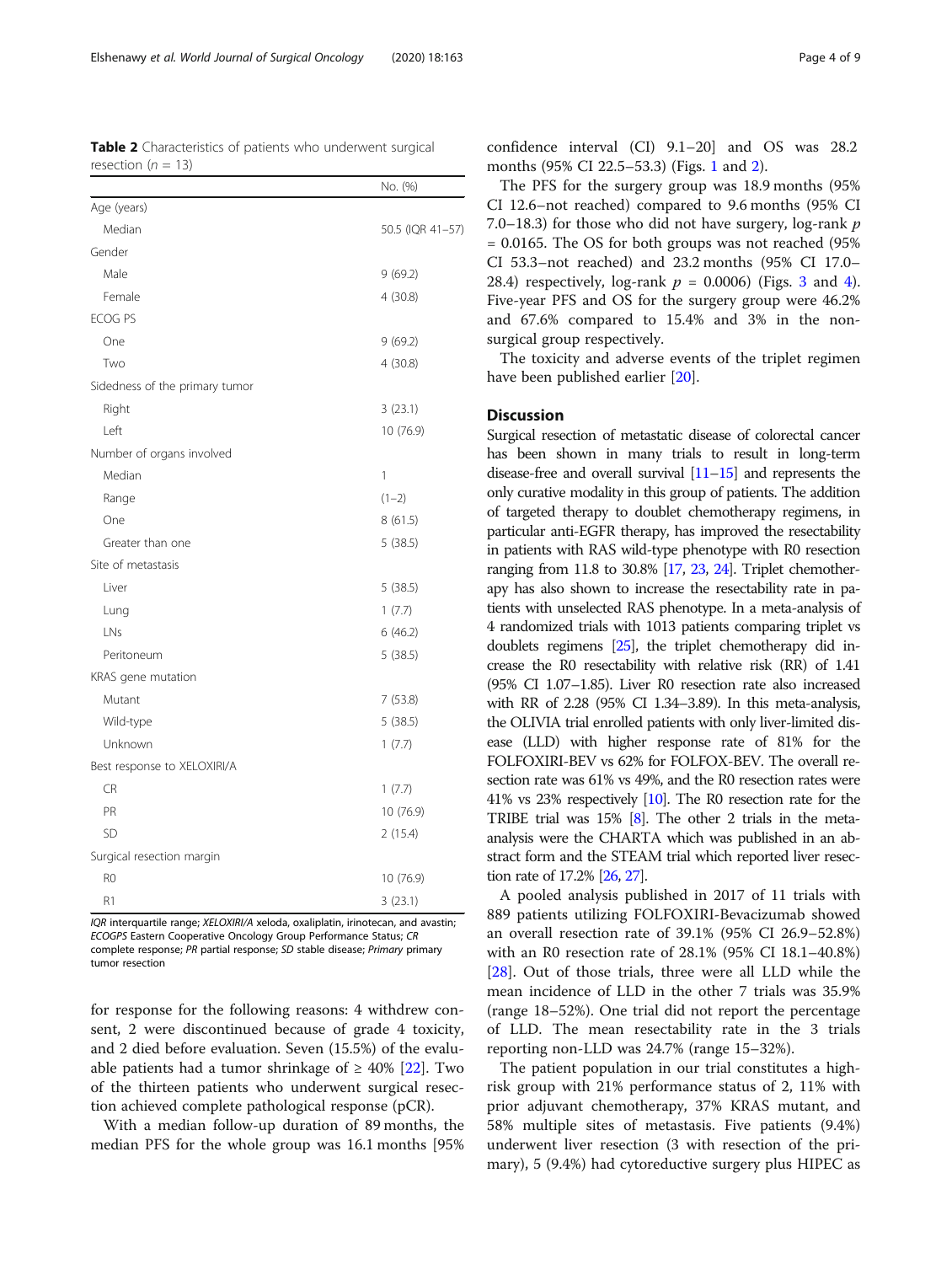<span id="page-3-0"></span>Table 2 Characteristics of patients who underwent surgical resection ( $n = 13$ )

|                                | No. (%)          |
|--------------------------------|------------------|
| Age (years)                    |                  |
| Median                         | 50.5 (IQR 41-57) |
| Gender                         |                  |
| Male                           | 9(69.2)          |
| Female                         | 4(30.8)          |
| <b>ECOG PS</b>                 |                  |
| One                            | 9(69.2)          |
| Two                            | 4(30.8)          |
| Sidedness of the primary tumor |                  |
| Right                          | 3(23.1)          |
| Left                           | 10 (76.9)        |
| Number of organs involved      |                  |
| Median                         | 1                |
| Range                          | $(1-2)$          |
| One                            | 8 (61.5)         |
| Greater than one               | 5(38.5)          |
| Site of metastasis             |                  |
| Liver                          | 5(38.5)          |
| Lung                           | 1(7.7)           |
| LNs                            | 6(46.2)          |
| Peritoneum                     | 5(38.5)          |
| KRAS gene mutation             |                  |
| Mutant                         | 7(53.8)          |
| Wild-type                      | 5(38.5)          |
| Unknown                        | 1(7.7)           |
| Best response to XELOXIRI/A    |                  |
| <b>CR</b>                      | 1(7.7)           |
| PR                             | 10 (76.9)        |
| <b>SD</b>                      | 2(15.4)          |
| Surgical resection margin      |                  |
| R <sub>0</sub>                 | 10 (76.9)        |
| R1                             | 3(23.1)          |

IQR interquartile range; XELOXIRI/A xeloda, oxaliplatin, irinotecan, and avastin; ECOGPS Eastern Cooperative Oncology Group Performance Status; CR complete response; PR partial response; SD stable disease; Primary primary tumor resection

for response for the following reasons: 4 withdrew consent, 2 were discontinued because of grade 4 toxicity, and 2 died before evaluation. Seven (15.5%) of the evaluable patients had a tumor shrinkage of  $\geq$  40% [\[22](#page-8-0)]. Two of the thirteen patients who underwent surgical resection achieved complete pathological response (pCR).

With a median follow-up duration of 89 months, the median PFS for the whole group was 16.1 months [95%

confidence interval (CI) 9.1–20] and OS was 28.2 months (95% CI 22.5–53.3) (Figs. [1](#page-5-0) and [2](#page-5-0)).

The PFS for the surgery group was 18.9 months (95% CI 12.6–not reached) compared to 9.6 months (95% CI 7.0–18.3) for those who did not have surgery,  $log$ -rank  $p$ = 0.0165. The OS for both groups was not reached (95% CI 53.3–not reached) and 23.2 months (95% CI 17.0– 28.[4](#page-6-0)) respectively, log-rank  $p = 0.0006$  (Figs. [3](#page-6-0) and 4). Five-year PFS and OS for the surgery group were 46.2% and 67.6% compared to 15.4% and 3% in the nonsurgical group respectively.

The toxicity and adverse events of the triplet regimen have been published earlier [[20\]](#page-8-0).

## **Discussion**

Surgical resection of metastatic disease of colorectal cancer has been shown in many trials to result in long-term disease-free and overall survival [\[11](#page-7-0)–[15\]](#page-8-0) and represents the only curative modality in this group of patients. The addition of targeted therapy to doublet chemotherapy regimens, in particular anti-EGFR therapy, has improved the resectability in patients with RAS wild-type phenotype with R0 resection ranging from 11.8 to 30.8% [\[17](#page-8-0), [23,](#page-8-0) [24](#page-8-0)]. Triplet chemotherapy has also shown to increase the resectability rate in patients with unselected RAS phenotype. In a meta-analysis of 4 randomized trials with 1013 patients comparing triplet vs doublets regimens [\[25\]](#page-8-0), the triplet chemotherapy did increase the R0 resectability with relative risk (RR) of 1.41 (95% CI 1.07–1.85). Liver R0 resection rate also increased with RR of 2.28 (95% CI 1.34–3.89). In this meta-analysis, the OLIVIA trial enrolled patients with only liver-limited disease (LLD) with higher response rate of 81% for the FOLFOXIRI-BEV vs 62% for FOLFOX-BEV. The overall resection rate was 61% vs 49%, and the R0 resection rates were 41% vs 23% respectively [\[10\]](#page-7-0). The R0 resection rate for the TRIBE trial was 15% [[8](#page-7-0)]. The other 2 trials in the metaanalysis were the CHARTA which was published in an abstract form and the STEAM trial which reported liver resection rate of 17.2% [\[26,](#page-8-0) [27](#page-8-0)].

A pooled analysis published in 2017 of 11 trials with 889 patients utilizing FOLFOXIRI-Bevacizumab showed an overall resection rate of 39.1% (95% CI 26.9–52.8%) with an R0 resection rate of 28.1% (95% CI 18.1–40.8%) [[28\]](#page-8-0). Out of those trials, three were all LLD while the mean incidence of LLD in the other 7 trials was 35.9% (range 18–52%). One trial did not report the percentage of LLD. The mean resectability rate in the 3 trials reporting non-LLD was 24.7% (range 15–32%).

The patient population in our trial constitutes a highrisk group with 21% performance status of 2, 11% with prior adjuvant chemotherapy, 37% KRAS mutant, and 58% multiple sites of metastasis. Five patients (9.4%) underwent liver resection (3 with resection of the primary), 5 (9.4%) had cytoreductive surgery plus HIPEC as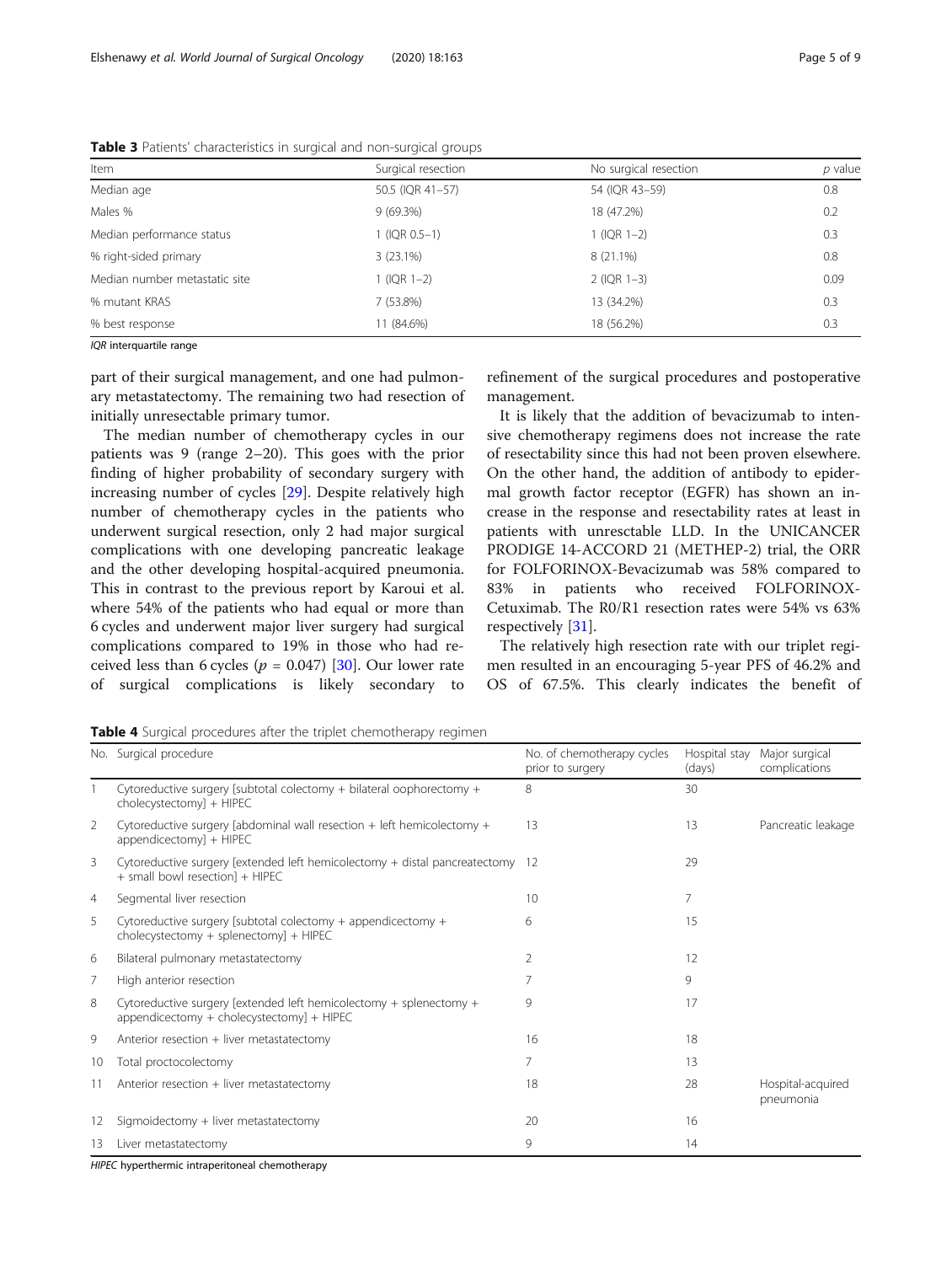| Item                          | Surgical resection | No surgical resection | $p$ value |  |
|-------------------------------|--------------------|-----------------------|-----------|--|
| Median age                    | 50.5 (IQR 41-57)   | 54 (IQR 43-59)        | 0.8       |  |
| Males %                       | $9(69.3\%)$        | 18 (47.2%)            | 0.2       |  |
| Median performance status     | 1 (IQR 0.5-1)      | $1$ (IQR 1-2)         | 0.3       |  |
| % right-sided primary         | 3(23.1%)           | $8(21.1\%)$           | 0.8       |  |
| Median number metastatic site | $1$ (IQR $1-2$ )   | $2$ (IQR 1-3)         | 0.09      |  |
| % mutant KRAS                 | 7 (53.8%)          | 13 (34.2%)            | 0.3       |  |
| % best response               | 11 (84.6%)         | 18 (56.2%)            | 0.3       |  |

<span id="page-4-0"></span>Table 3 Patients' characteristics in surgical and non-surgical groups

IQR interquartile range

part of their surgical management, and one had pulmonary metastatectomy. The remaining two had resection of initially unresectable primary tumor.

The median number of chemotherapy cycles in our patients was 9 (range 2–20). This goes with the prior finding of higher probability of secondary surgery with increasing number of cycles [\[29](#page-8-0)]. Despite relatively high number of chemotherapy cycles in the patients who underwent surgical resection, only 2 had major surgical complications with one developing pancreatic leakage and the other developing hospital-acquired pneumonia. This in contrast to the previous report by Karoui et al. where 54% of the patients who had equal or more than 6 cycles and underwent major liver surgery had surgical complications compared to 19% in those who had received less than 6 cycles ( $p = 0.047$ ) [[30\]](#page-8-0). Our lower rate of surgical complications is likely secondary to

refinement of the surgical procedures and postoperative management.

It is likely that the addition of bevacizumab to intensive chemotherapy regimens does not increase the rate of resectability since this had not been proven elsewhere. On the other hand, the addition of antibody to epidermal growth factor receptor (EGFR) has shown an increase in the response and resectability rates at least in patients with unresctable LLD. In the UNICANCER PRODIGE 14-ACCORD 21 (METHEP-2) trial, the ORR for FOLFORINOX-Bevacizumab was 58% compared to 83% in patients who received FOLFORINOX-Cetuximab. The R0/R1 resection rates were 54% vs 63% respectively [\[31](#page-8-0)].

The relatively high resection rate with our triplet regimen resulted in an encouraging 5-year PFS of 46.2% and OS of 67.5%. This clearly indicates the benefit of

|  |  |  |  | Table 4 Surgical procedures after the triplet chemotherapy regimen |
|--|--|--|--|--------------------------------------------------------------------|
|--|--|--|--|--------------------------------------------------------------------|

|    | No. Surgical procedure                                                                                           | No. of chemotherapy cycles<br>prior to surgery | Hospital stay<br>(days) | Major surgical<br>complications |
|----|------------------------------------------------------------------------------------------------------------------|------------------------------------------------|-------------------------|---------------------------------|
|    | Cytoreductive surgery [subtotal colectomy $+$ bilateral oophorectomy $+$<br>cholecystectomy] + HIPEC             | 8                                              | 30                      |                                 |
| 2  | Cytoreductive surgery [abdominal wall resection $+$ left hemicolectomy $+$<br>appendicectomy] + HIPEC            | 13                                             | 13                      | Pancreatic leakage              |
| 3  | Cytoreductive surgery [extended left hemicolectomy + distal pancreatectomy 12<br>+ small bowl resection] + HIPEC |                                                | 29                      |                                 |
| 4  | Segmental liver resection                                                                                        | 10                                             |                         |                                 |
| 5  | Cytoreductive surgery [subtotal colectomy + appendicectomy +<br>$cholecystectomy + splenectomy + HIPEC$          | 6                                              | 15                      |                                 |
| 6  | Bilateral pulmonary metastatectomy                                                                               | 2                                              | 12                      |                                 |
| 7  | High anterior resection                                                                                          | 7                                              | 9                       |                                 |
| 8  | Cytoreductive surgery [extended left hemicolectomy + splenectomy +<br>appendicectomy + cholecystectomy] + HIPEC  | 9                                              | 17                      |                                 |
| 9  | Anterior resection + liver metastatectomy                                                                        | 16                                             | 18                      |                                 |
| 10 | Total proctocolectomy                                                                                            | 7                                              | 13                      |                                 |
| 11 | Anterior resection + liver metastatectomy                                                                        | 18                                             | 28                      | Hospital-acquired<br>pneumonia  |
| 12 | Sigmoidectomy + liver metastatectomy                                                                             | 20                                             | 16                      |                                 |
| 13 | Liver metastatectomy                                                                                             | 9                                              | 14                      |                                 |

HIPEC hyperthermic intraperitoneal chemotherapy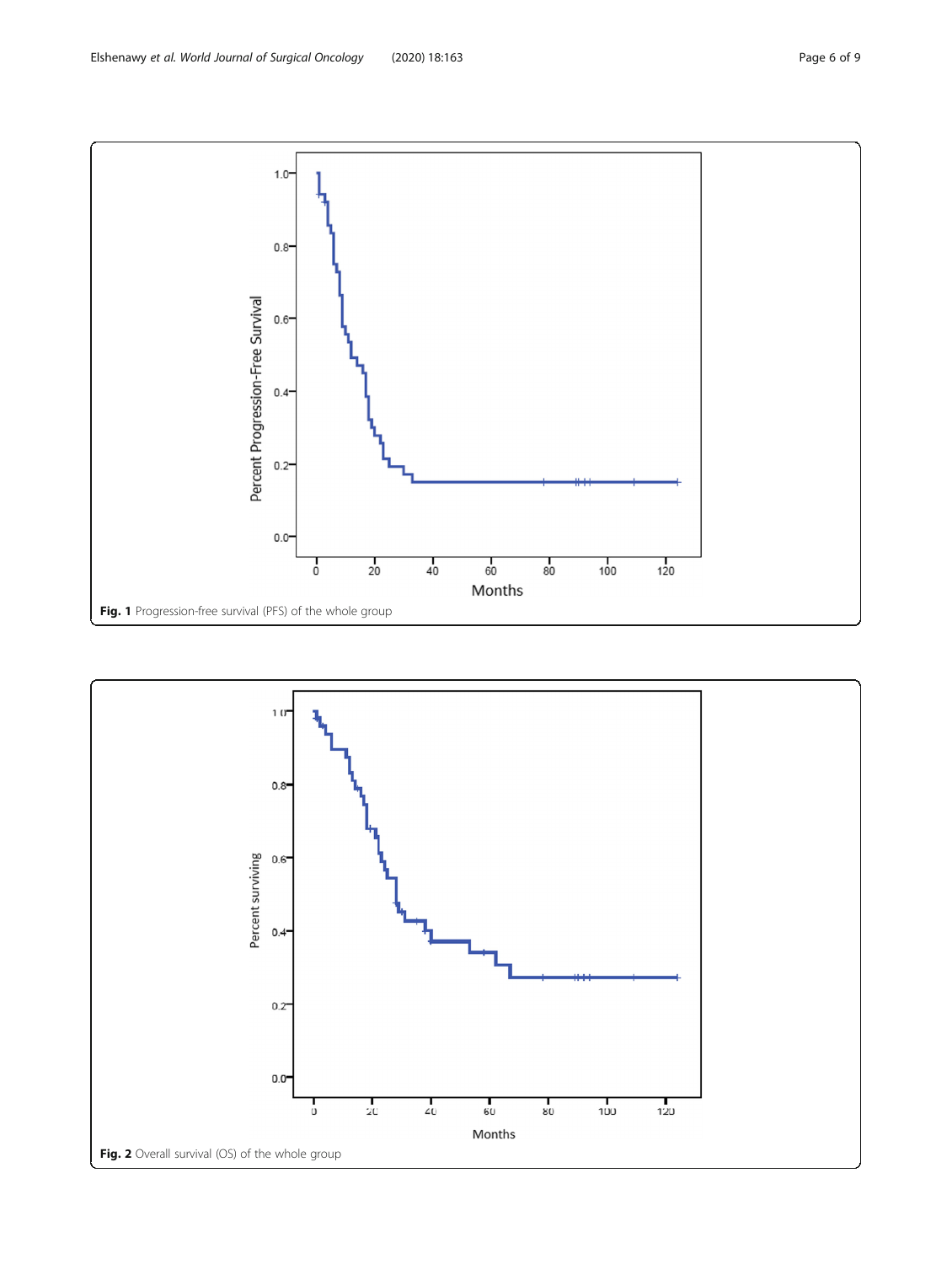<span id="page-5-0"></span>

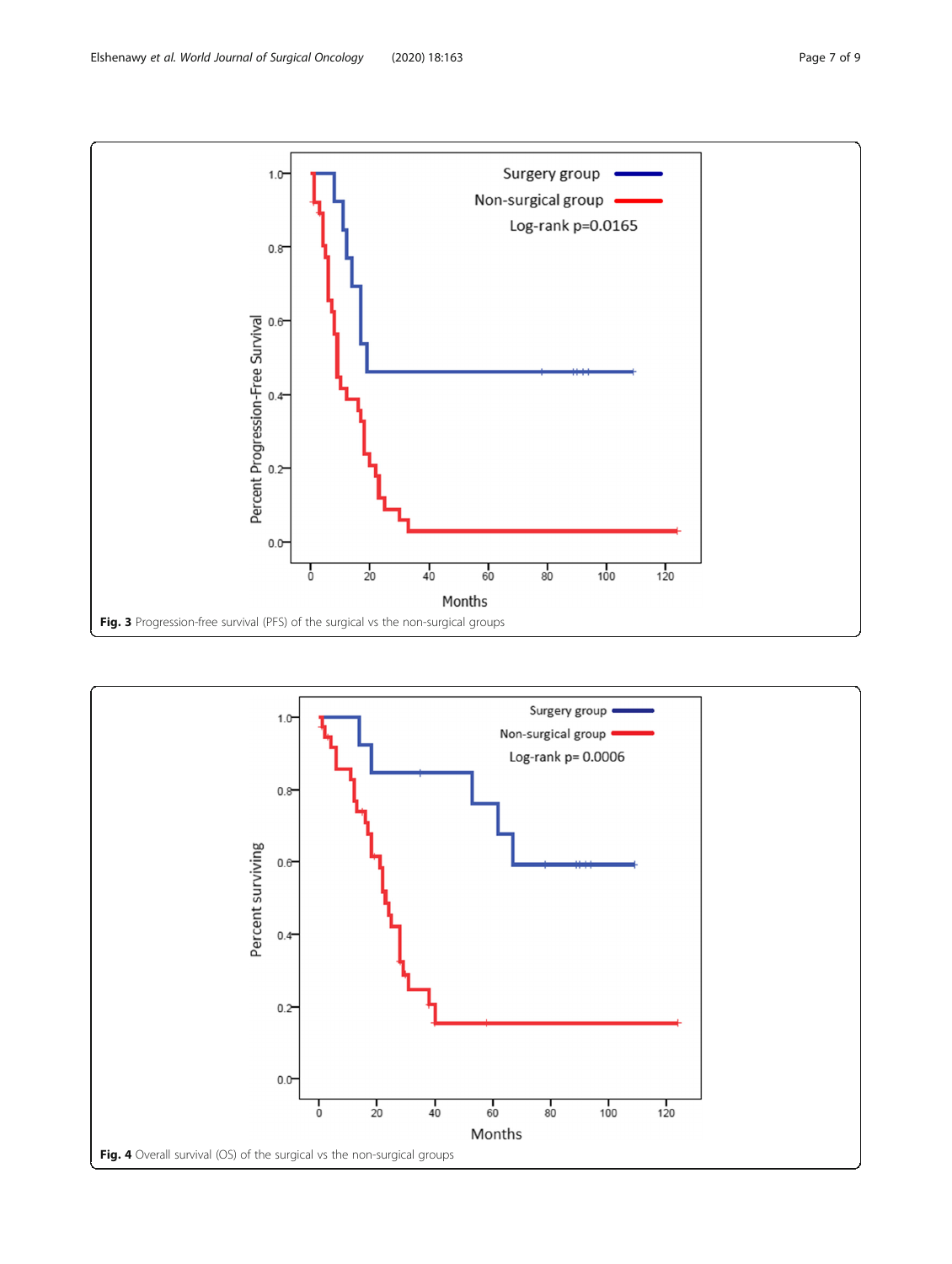<span id="page-6-0"></span>

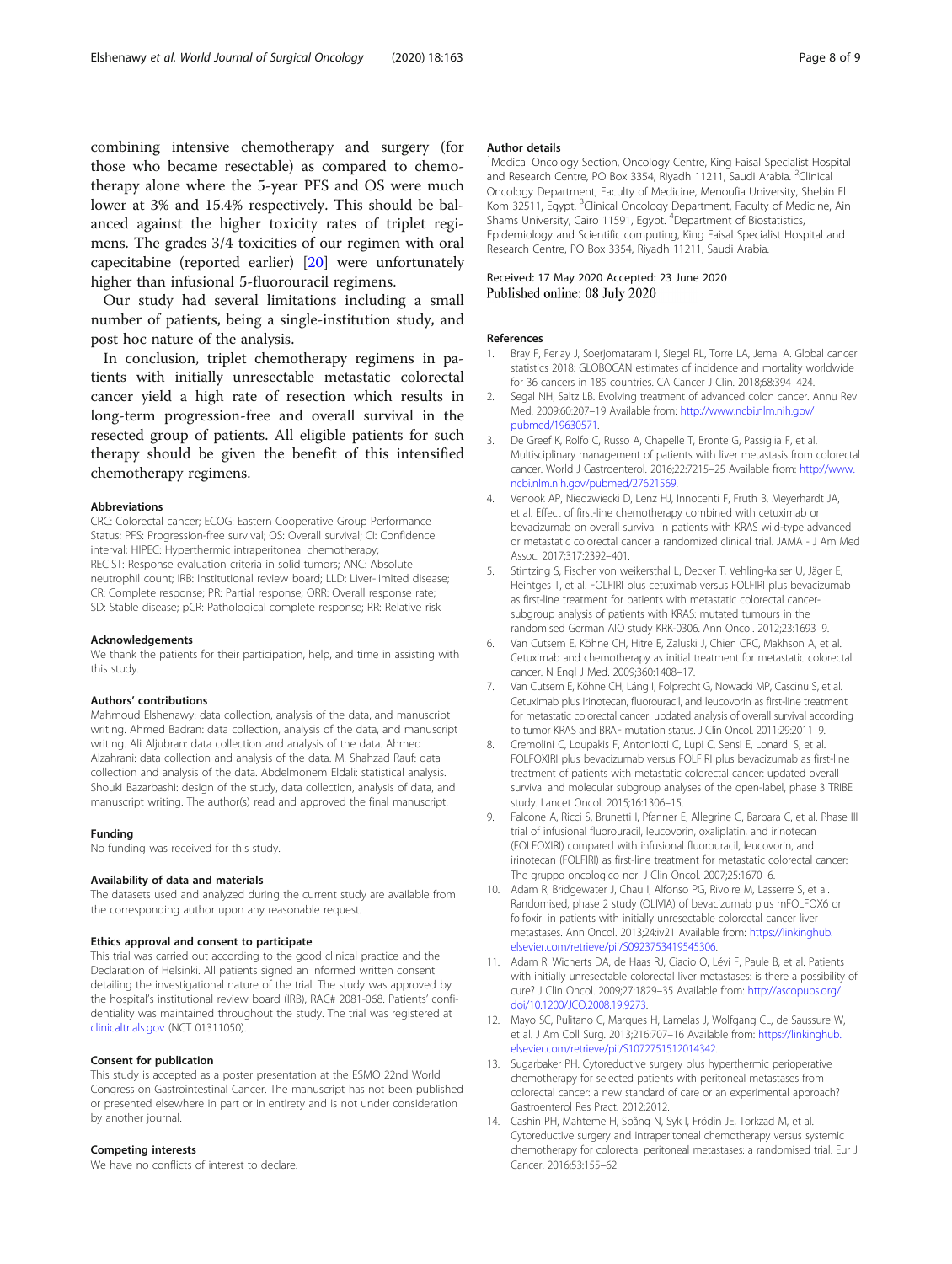<span id="page-7-0"></span>combining intensive chemotherapy and surgery (for those who became resectable) as compared to chemotherapy alone where the 5-year PFS and OS were much lower at 3% and 15.4% respectively. This should be balanced against the higher toxicity rates of triplet regimens. The grades 3/4 toxicities of our regimen with oral capecitabine (reported earlier) [[20\]](#page-8-0) were unfortunately higher than infusional 5-fluorouracil regimens.

Our study had several limitations including a small number of patients, being a single-institution study, and post hoc nature of the analysis.

In conclusion, triplet chemotherapy regimens in patients with initially unresectable metastatic colorectal cancer yield a high rate of resection which results in long-term progression-free and overall survival in the resected group of patients. All eligible patients for such therapy should be given the benefit of this intensified chemotherapy regimens.

#### Abbreviations

CRC: Colorectal cancer; ECOG: Eastern Cooperative Group Performance Status; PFS: Progression-free survival; OS: Overall survival; CI: Confidence interval; HIPEC: Hyperthermic intraperitoneal chemotherapy; RECIST: Response evaluation criteria in solid tumors; ANC: Absolute neutrophil count; IRB: Institutional review board; LLD: Liver-limited disease; CR: Complete response; PR: Partial response; ORR: Overall response rate; SD: Stable disease; pCR: Pathological complete response; RR: Relative risk

#### Acknowledgements

We thank the patients for their participation, help, and time in assisting with this study.

#### Authors' contributions

Mahmoud Elshenawy: data collection, analysis of the data, and manuscript writing. Ahmed Badran: data collection, analysis of the data, and manuscript writing. Ali Aljubran: data collection and analysis of the data. Ahmed Alzahrani: data collection and analysis of the data. M. Shahzad Rauf: data collection and analysis of the data. Abdelmonem Eldali: statistical analysis. Shouki Bazarbashi: design of the study, data collection, analysis of data, and manuscript writing. The author(s) read and approved the final manuscript.

#### Funding

No funding was received for this study.

#### Availability of data and materials

The datasets used and analyzed during the current study are available from the corresponding author upon any reasonable request.

#### Ethics approval and consent to participate

This trial was carried out according to the good clinical practice and the Declaration of Helsinki. All patients signed an informed written consent detailing the investigational nature of the trial. The study was approved by the hospital's institutional review board (IRB), RAC# 2081-068. Patients' confidentiality was maintained throughout the study. The trial was registered at [clinicaltrials.gov](http://clinicaltrials.gov) (NCT 01311050).

#### Consent for publication

This study is accepted as a poster presentation at the ESMO 22nd World Congress on Gastrointestinal Cancer. The manuscript has not been published or presented elsewhere in part or in entirety and is not under consideration by another journal.

## Competing interests

We have no conflicts of interest to declare.

#### Author details

<sup>1</sup>Medical Oncology Section, Oncology Centre, King Faisal Specialist Hospital and Research Centre, PO Box 3354, Riyadh 11211, Saudi Arabia. <sup>2</sup>Clinical Oncology Department, Faculty of Medicine, Menoufia University, Shebin El Kom 32511, Egypt. <sup>3</sup>Clinical Oncology Department, Faculty of Medicine, Ain Shams University, Cairo 11591, Egypt. <sup>4</sup>Department of Biostatistics, Epidemiology and Scientific computing, King Faisal Specialist Hospital and Research Centre, PO Box 3354, Riyadh 11211, Saudi Arabia.

## Received: 17 May 2020 Accepted: 23 June 2020 Published online: 08 July 2020

#### References

- 1. Bray F, Ferlay J, Soerjomataram I, Siegel RL, Torre LA, Jemal A. Global cancer statistics 2018: GLOBOCAN estimates of incidence and mortality worldwide for 36 cancers in 185 countries. CA Cancer J Clin. 2018;68:394–424.
- 2. Segal NH, Saltz LB. Evolving treatment of advanced colon cancer. Annu Rev. Med. 2009;60:207–19 Available from: [http://www.ncbi.nlm.nih.gov/](http://www.ncbi.nlm.nih.gov/pubmed/19630571) [pubmed/19630571.](http://www.ncbi.nlm.nih.gov/pubmed/19630571)
- 3. De Greef K, Rolfo C, Russo A, Chapelle T, Bronte G, Passiglia F, et al. Multisciplinary management of patients with liver metastasis from colorectal cancer. World J Gastroenterol. 2016;22:7215–25 Available from: [http://www.](http://www.ncbi.nlm.nih.gov/pubmed/27621569) [ncbi.nlm.nih.gov/pubmed/27621569](http://www.ncbi.nlm.nih.gov/pubmed/27621569).
- 4. Venook AP, Niedzwiecki D, Lenz HJ, Innocenti F, Fruth B, Meyerhardt JA, et al. Effect of first-line chemotherapy combined with cetuximab or bevacizumab on overall survival in patients with KRAS wild-type advanced or metastatic colorectal cancer a randomized clinical trial. JAMA - J Am Med Assoc. 2017;317:2392–401.
- 5. Stintzing S, Fischer von weikersthal L, Decker T, Vehling-kaiser U, Jäger E, Heintges T, et al. FOLFIRI plus cetuximab versus FOLFIRI plus bevacizumab as first-line treatment for patients with metastatic colorectal cancersubgroup analysis of patients with KRAS: mutated tumours in the randomised German AIO study KRK-0306. Ann Oncol. 2012;23:1693–9.
- 6. Van Cutsem E, Köhne CH, Hitre E, Zaluski J, Chien CRC, Makhson A, et al. Cetuximab and chemotherapy as initial treatment for metastatic colorectal cancer. N Engl J Med. 2009;360:1408–17.
- 7. Van Cutsem E, Köhne CH, Láng I, Folprecht G, Nowacki MP, Cascinu S, et al. Cetuximab plus irinotecan, fluorouracil, and leucovorin as first-line treatment for metastatic colorectal cancer: updated analysis of overall survival according to tumor KRAS and BRAF mutation status. J Clin Oncol. 2011;29:2011–9.
- 8. Cremolini C, Loupakis F, Antoniotti C, Lupi C, Sensi E, Lonardi S, et al. FOLFOXIRI plus bevacizumab versus FOLFIRI plus bevacizumab as first-line treatment of patients with metastatic colorectal cancer: updated overall survival and molecular subgroup analyses of the open-label, phase 3 TRIBE study. Lancet Oncol. 2015;16:1306–15.
- 9. Falcone A, Ricci S, Brunetti I, Pfanner E, Allegrine G, Barbara C, et al. Phase III trial of infusional fluorouracil, leucovorin, oxaliplatin, and irinotecan (FOLFOXIRI) compared with infusional fluorouracil, leucovorin, and irinotecan (FOLFIRI) as first-line treatment for metastatic colorectal cancer: The gruppo oncologico nor. J Clin Oncol. 2007;25:1670–6.
- 10. Adam R, Bridgewater J, Chau I, Alfonso PG, Rivoire M, Lasserre S, et al. Randomised, phase 2 study (OLIVIA) of bevacizumab plus mFOLFOX6 or folfoxiri in patients with initially unresectable colorectal cancer liver metastases. Ann Oncol. 2013;24:iv21 Available from: [https://linkinghub.](https://linkinghub.elsevier.com/retrieve/pii/S0923753419545306) [elsevier.com/retrieve/pii/S0923753419545306.](https://linkinghub.elsevier.com/retrieve/pii/S0923753419545306)
- 11. Adam R, Wicherts DA, de Haas RJ, Ciacio O, Lévi F, Paule B, et al. Patients with initially unresectable colorectal liver metastases: is there a possibility of cure? J Clin Oncol. 2009;27:1829–35 Available from: [http://ascopubs.org/](http://ascopubs.org/doi/10.1200/JCO.2008.19.9273) [doi/10.1200/JCO.2008.19.9273](http://ascopubs.org/doi/10.1200/JCO.2008.19.9273).
- 12. Mayo SC, Pulitano C, Marques H, Lamelas J, Wolfgang CL, de Saussure W, et al. J Am Coll Surg. 2013;216:707–16 Available from: [https://linkinghub.](https://linkinghub.elsevier.com/retrieve/pii/S1072751512014342) [elsevier.com/retrieve/pii/S1072751512014342.](https://linkinghub.elsevier.com/retrieve/pii/S1072751512014342)
- 13. Sugarbaker PH. Cytoreductive surgery plus hyperthermic perioperative chemotherapy for selected patients with peritoneal metastases from colorectal cancer: a new standard of care or an experimental approach? Gastroenterol Res Pract. 2012;2012.
- 14. Cashin PH, Mahteme H, Spång N, Syk I, Frödin JE, Torkzad M, et al. Cytoreductive surgery and intraperitoneal chemotherapy versus systemic chemotherapy for colorectal peritoneal metastases: a randomised trial. Eur J Cancer. 2016;53:155–62.